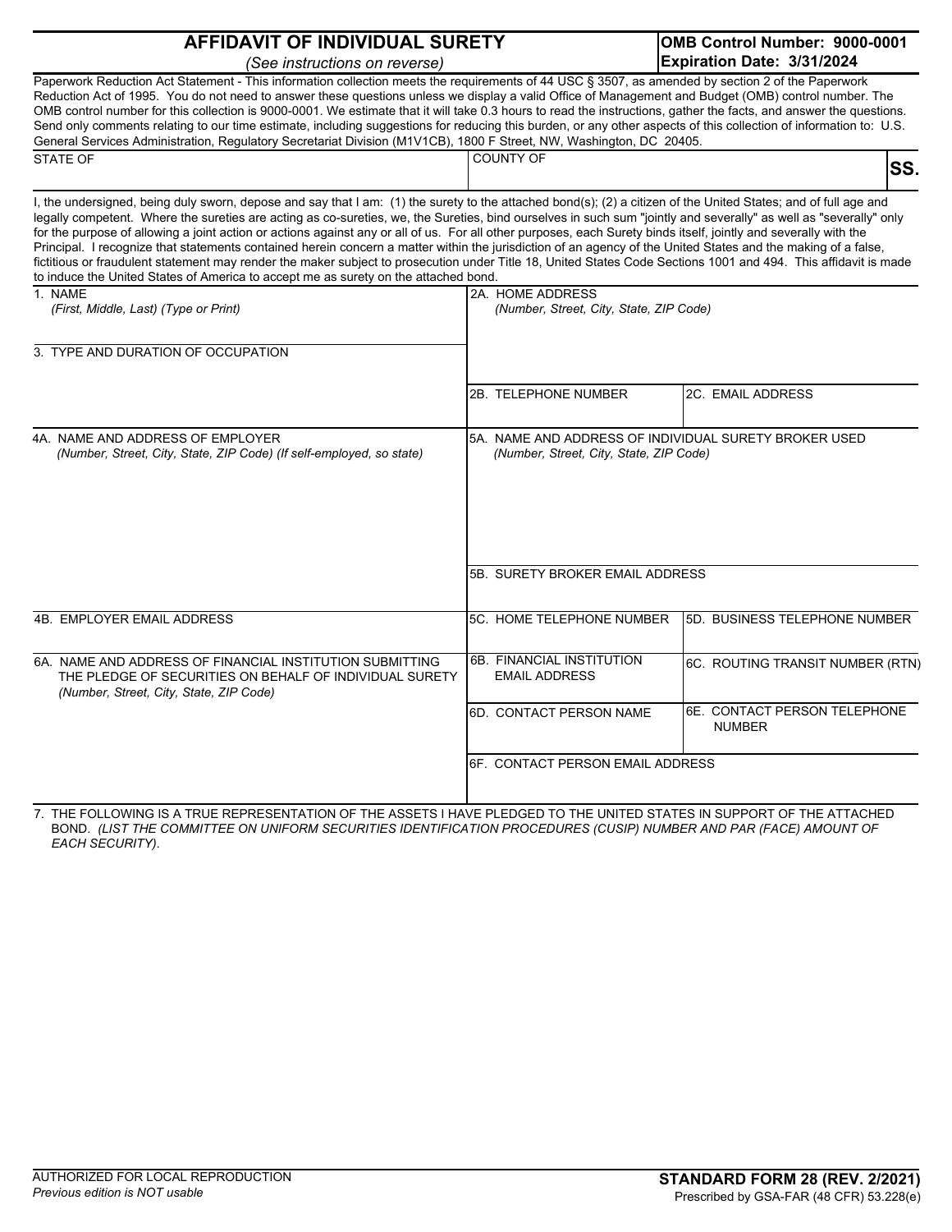| <b>AFFIDAVIT OF INDIVIDUAL SURETY</b>                                                                                                                                                                                                                                                                                                                                                                                                                                                                                                                                                                                                                                                                                                                                                                                                                                                                                               |                                                             | OMB Control Number: 9000-0001                         |
|-------------------------------------------------------------------------------------------------------------------------------------------------------------------------------------------------------------------------------------------------------------------------------------------------------------------------------------------------------------------------------------------------------------------------------------------------------------------------------------------------------------------------------------------------------------------------------------------------------------------------------------------------------------------------------------------------------------------------------------------------------------------------------------------------------------------------------------------------------------------------------------------------------------------------------------|-------------------------------------------------------------|-------------------------------------------------------|
| (See instructions on reverse)                                                                                                                                                                                                                                                                                                                                                                                                                                                                                                                                                                                                                                                                                                                                                                                                                                                                                                       |                                                             | Expiration Date: 3/31/2024                            |
| Paperwork Reduction Act Statement - This information collection meets the requirements of 44 USC § 3507, as amended by section 2 of the Paperwork<br>Reduction Act of 1995. You do not need to answer these questions unless we display a valid Office of Management and Budget (OMB) control number. The<br>OMB control number for this collection is 9000-0001. We estimate that it will take 0.3 hours to read the instructions, gather the facts, and answer the questions.<br>Send only comments relating to our time estimate, including suggestions for reducing this burden, or any other aspects of this collection of information to: U.S.<br>General Services Administration, Regulatory Secretariat Division (M1V1CB), 1800 F Street, NW, Washington, DC 20405.                                                                                                                                                         |                                                             |                                                       |
| <b>STATE OF</b>                                                                                                                                                                                                                                                                                                                                                                                                                                                                                                                                                                                                                                                                                                                                                                                                                                                                                                                     | <b>COUNTY OF</b>                                            | SS.                                                   |
| I, the undersigned, being duly sworn, depose and say that I am: (1) the surety to the attached bond(s); (2) a citizen of the United States; and of full age and<br>legally competent. Where the sureties are acting as co-sureties, we, the Sureties, bind ourselves in such sum "jointly and severally" as well as "severally" only<br>for the purpose of allowing a joint action or actions against any or all of us. For all other purposes, each Surety binds itself, jointly and severally with the<br>Principal. I recognize that statements contained herein concern a matter within the jurisdiction of an agency of the United States and the making of a false,<br>fictitious or fraudulent statement may render the maker subject to prosecution under Title 18, United States Code Sections 1001 and 494. This affidavit is made<br>to induce the United States of America to accept me as surety on the attached bond. |                                                             |                                                       |
| 1. NAME<br>(First, Middle, Last) (Type or Print)                                                                                                                                                                                                                                                                                                                                                                                                                                                                                                                                                                                                                                                                                                                                                                                                                                                                                    | 2A. HOME ADDRESS<br>(Number, Street, City, State, ZIP Code) |                                                       |
| 3. TYPE AND DURATION OF OCCUPATION                                                                                                                                                                                                                                                                                                                                                                                                                                                                                                                                                                                                                                                                                                                                                                                                                                                                                                  |                                                             |                                                       |
|                                                                                                                                                                                                                                                                                                                                                                                                                                                                                                                                                                                                                                                                                                                                                                                                                                                                                                                                     | 2B. TELEPHONE NUMBER                                        | <b>2C. EMAIL ADDRESS</b>                              |
| 4A. NAME AND ADDRESS OF EMPLOYER<br>(Number, Street, City, State, ZIP Code) (If self-employed, so state)                                                                                                                                                                                                                                                                                                                                                                                                                                                                                                                                                                                                                                                                                                                                                                                                                            | (Number, Street, City, State, ZIP Code)                     | 5A. NAME AND ADDRESS OF INDIVIDUAL SURETY BROKER USED |
|                                                                                                                                                                                                                                                                                                                                                                                                                                                                                                                                                                                                                                                                                                                                                                                                                                                                                                                                     | 5B. SURETY BROKER EMAIL ADDRESS                             |                                                       |
| 4B. EMPLOYER EMAIL ADDRESS                                                                                                                                                                                                                                                                                                                                                                                                                                                                                                                                                                                                                                                                                                                                                                                                                                                                                                          | 5C. HOME TELEPHONE NUMBER                                   | 5D. BUSINESS TELEPHONE NUMBER                         |
| 6A. NAME AND ADDRESS OF FINANCIAL INSTITUTION SUBMITTING<br>THE PLEDGE OF SECURITIES ON BEHALF OF INDIVIDUAL SURETY<br>(Number, Street, City, State, ZIP Code)                                                                                                                                                                                                                                                                                                                                                                                                                                                                                                                                                                                                                                                                                                                                                                      | 6B. FINANCIAL INSTITUTION<br><b>EMAIL ADDRESS</b>           | 6C. ROUTING TRANSIT NUMBER (RTN)                      |
|                                                                                                                                                                                                                                                                                                                                                                                                                                                                                                                                                                                                                                                                                                                                                                                                                                                                                                                                     | 6D. CONTACT PERSON NAME                                     | 6E. CONTACT PERSON TELEPHONE<br><b>NUMBER</b>         |
|                                                                                                                                                                                                                                                                                                                                                                                                                                                                                                                                                                                                                                                                                                                                                                                                                                                                                                                                     | 6F. CONTACT PERSON EMAIL ADDRESS                            |                                                       |

7. THE FOLLOWING IS A TRUE REPRESENTATION OF THE ASSETS I HAVE PLEDGED TO THE UNITED STATES IN SUPPORT OF THE ATTACHED BOND. *(LIST THE COMMITTEE ON UNIFORM SECURITIES IDENTIFICATION PROCEDURES (CUSIP) NUMBER AND PAR (FACE) AMOUNT OF EACH SECURITY)*.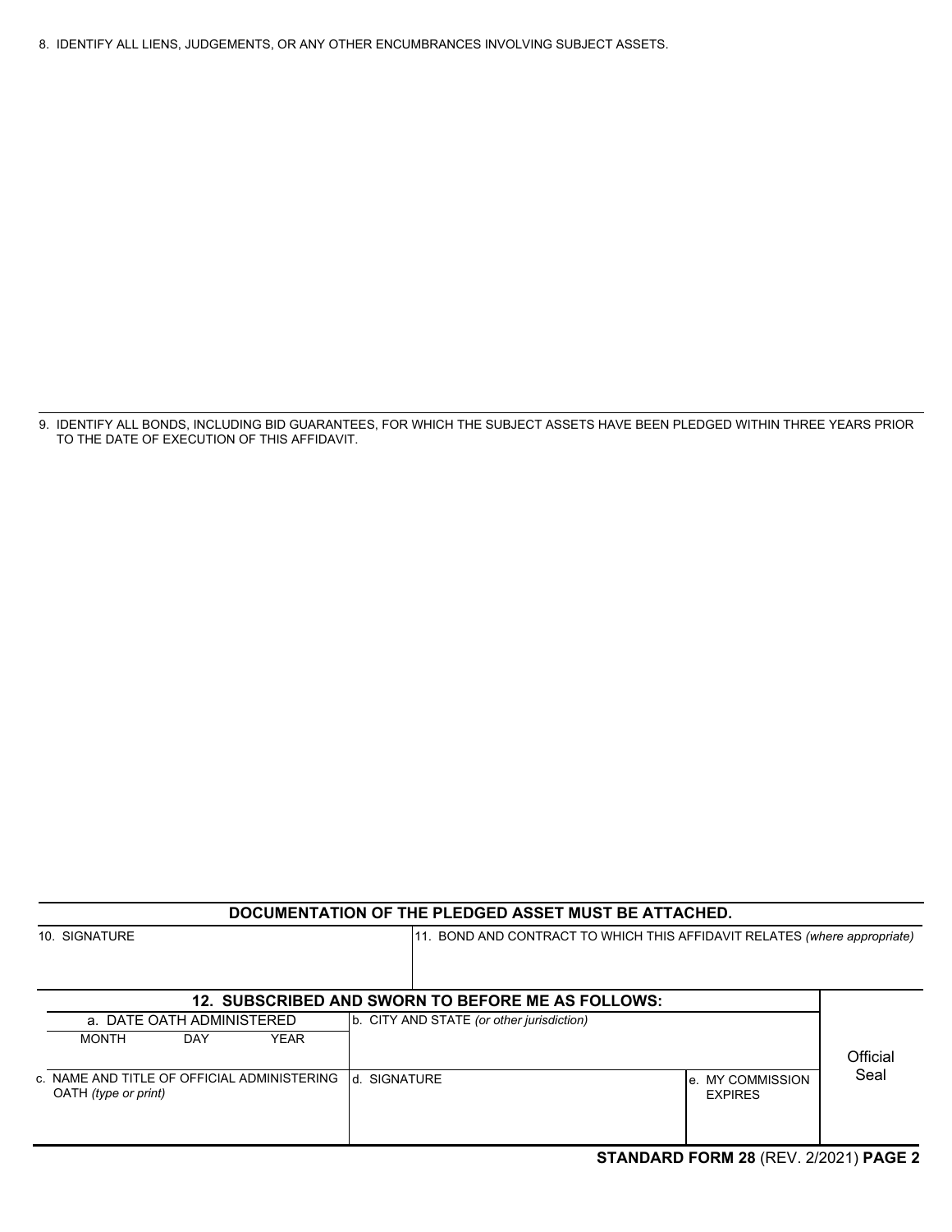8. IDENTIFY ALL LIENS, JUDGEMENTS, OR ANY OTHER ENCUMBRANCES INVOLVING SUBJECT ASSETS.

9. IDENTIFY ALL BONDS, INCLUDING BID GUARANTEES, FOR WHICH THE SUBJECT ASSETS HAVE BEEN PLEDGED WITHIN THREE YEARS PRIOR TO THE DATE OF EXECUTION OF THIS AFFIDAVIT.

| DOCUMENTATION OF THE PLEDGED ASSET MUST BE ATTACHED.                |                                                                           |          |  |
|---------------------------------------------------------------------|---------------------------------------------------------------------------|----------|--|
| 10. SIGNATURE                                                       | 11. BOND AND CONTRACT TO WHICH THIS AFFIDAVIT RELATES (where appropriate) |          |  |
|                                                                     | 12. SUBSCRIBED AND SWORN TO BEFORE ME AS FOLLOWS:                         |          |  |
| a. DATE OATH ADMINISTERED                                           | b. CITY AND STATE (or other jurisdiction)                                 |          |  |
| <b>MONTH</b><br><b>YEAR</b><br>DAY                                  |                                                                           | Official |  |
| c. NAME AND TITLE OF OFFICIAL ADMINISTERING<br>OATH (type or print) | <b>SIGNATURE</b><br>l d<br>le. MY COMMISSION<br><b>EXPIRES</b>            | Seal     |  |